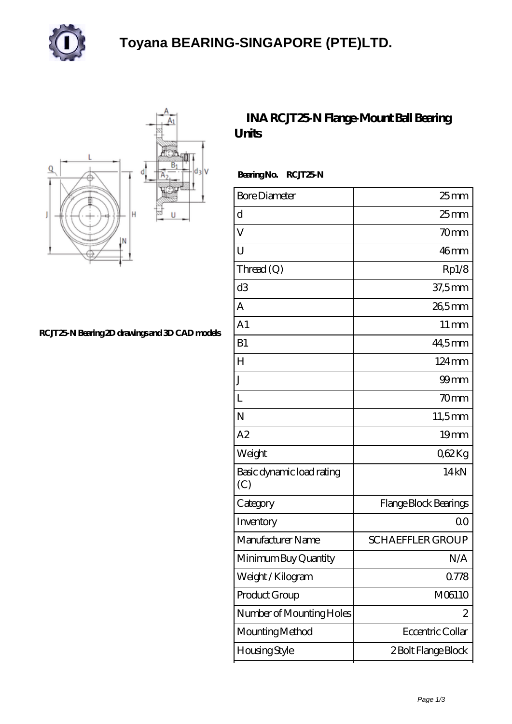

## **[Toyana BEARING-SINGAPORE \(PTE\)LTD.](https://landhotel-krone.net)**



**[RCJT25-N Bearing 2D drawings and 3D CAD models](https://landhotel-krone.net/pic-336229.html)**

## **[INA RCJT25-N Flange-Mount Ball Bearing](https://landhotel-krone.net/au-336229-ina-rcjt25-n-flange-mount-ball-bearing-units.html) [Units](https://landhotel-krone.net/au-336229-ina-rcjt25-n-flange-mount-ball-bearing-units.html)**

Bearing No. RCJT25-N

| <b>Bore Diameter</b>             | $25$ mm                 |
|----------------------------------|-------------------------|
| d                                | $25 \text{mm}$          |
| V                                | 70 <sub>mm</sub>        |
| U                                | 46mm                    |
| Thread $(Q)$                     | Rp1/8                   |
| d3                               | 37,5mm                  |
| A                                | 265mm                   |
| A <sub>1</sub>                   | $11 \,\mathrm{mm}$      |
| B1                               | 44,5mm                  |
| H                                | $124 \,\mathrm{mm}$     |
| J.                               | $99$ mm                 |
| L                                | 70 <sub>mm</sub>        |
| N                                | 11,5mm                  |
| A2                               | 19mm                    |
| Weight                           | Q62Kg                   |
| Basic dynamic load rating<br>(C) | 14kN                    |
| Category                         | Flange Block Bearings   |
| Inventory                        | Q0                      |
| Manufacturer Name                | <b>SCHAEFFLER GROUP</b> |
| Minimum Buy Quantity             | N/A                     |
| Weight / Kilogram                | 0778                    |
| Product Group                    | M06110                  |
| Number of Mounting Holes         | 2                       |
| Mounting Method                  | Eccentric Collar        |
| <b>Housing Style</b>             | 2 Bolt Flange Block     |
|                                  |                         |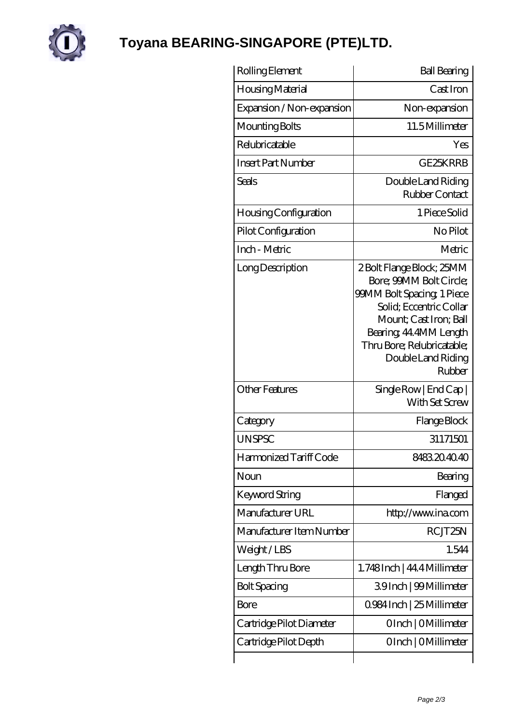

## **[Toyana BEARING-SINGAPORE \(PTE\)LTD.](https://landhotel-krone.net)**

| Rolling Element              | <b>Ball Bearing</b>                                                                                                                                                                                                                   |
|------------------------------|---------------------------------------------------------------------------------------------------------------------------------------------------------------------------------------------------------------------------------------|
| Housing Material             | Cast Iron                                                                                                                                                                                                                             |
| Expansion / Non-expansion    | Non-expansion                                                                                                                                                                                                                         |
| Mounting Bolts               | 11.5Millimeter                                                                                                                                                                                                                        |
| Relubricatable               | Yes                                                                                                                                                                                                                                   |
| <b>Insert Part Number</b>    | GE25KRRB                                                                                                                                                                                                                              |
| <b>Seals</b>                 | Double Land Riding<br>Rubber Contact                                                                                                                                                                                                  |
| <b>Housing Configuration</b> | 1 Piece Solid                                                                                                                                                                                                                         |
| Pilot Configuration          | No Pilot                                                                                                                                                                                                                              |
| Inch - Metric                | Metric                                                                                                                                                                                                                                |
| Long Description             | 2 Bolt Flange Block; 25MM<br>Bore; 99MM Bolt Circle;<br><b>99MM Bolt Spacing 1 Piece</b><br>Solid: Eccentric Collar<br>Mount; Cast Iron; Ball<br>Bearing, 44,4MM Length<br>Thru Bore; Relubricatable;<br>Double Land Riding<br>Rubber |
| <b>Other Features</b>        | SingleRow   End Cap  <br>With Set Screw                                                                                                                                                                                               |
| Category                     | Flange Block                                                                                                                                                                                                                          |
| <b>UNSPSC</b>                | 31171501                                                                                                                                                                                                                              |
| Harmonized Tariff Code       | 8483204040                                                                                                                                                                                                                            |
| Noun                         | Bearing                                                                                                                                                                                                                               |
| <b>Keyword String</b>        | Flanged                                                                                                                                                                                                                               |
| Manufacturer URL             | http://www.ina.com                                                                                                                                                                                                                    |
| Manufacturer Item Number     | RCJT25N                                                                                                                                                                                                                               |
| Weight/LBS                   | 1.544                                                                                                                                                                                                                                 |
| Length Thru Bore             | 1.748Inch   44.4 Millimeter                                                                                                                                                                                                           |
| <b>Bolt Spacing</b>          | 39Inch   99Millimeter                                                                                                                                                                                                                 |
| <b>Bore</b>                  | 0.984 Inch   25 Millimeter                                                                                                                                                                                                            |
| Cartridge Pilot Diameter     | OInch   OMillimeter                                                                                                                                                                                                                   |
| Cartridge Pilot Depth        | OInch   OMillimeter                                                                                                                                                                                                                   |
|                              |                                                                                                                                                                                                                                       |